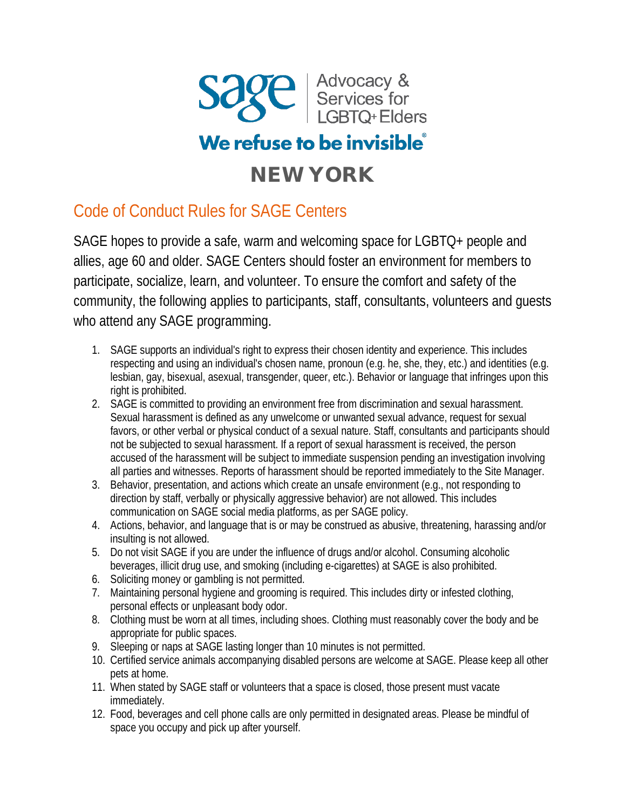

## We refuse to be invisible<sup>®</sup>

## NEW YORK

## Code of Conduct Rules for SAGE Centers

SAGE hopes to provide a safe, warm and welcoming space for LGBTQ+ people and allies, age 60 and older. SAGE Centers should foster an environment for members to participate, socialize, learn, and volunteer. To ensure the comfort and safety of the community, the following applies to participants, staff, consultants, volunteers and guests who attend any SAGE programming.

- 1. SAGE supports an individual's right to express their chosen identity and experience. This includes respecting and using an individual's chosen name, pronoun (e.g. he, she, they, etc.) and identities (e.g. lesbian, gay, bisexual, asexual, transgender, queer, etc.). Behavior or language that infringes upon this right is prohibited.
- 2. SAGE is committed to providing an environment free from discrimination and sexual harassment. Sexual harassment is defined as any unwelcome or unwanted sexual advance, request for sexual favors, or other verbal or physical conduct of a sexual nature. Staff, consultants and participants should not be subjected to sexual harassment. If a report of sexual harassment is received, the person accused of the harassment will be subject to immediate suspension pending an investigation involving all parties and witnesses. Reports of harassment should be reported immediately to the Site Manager.
- 3. Behavior, presentation, and actions which create an unsafe environment (e.g., not responding to direction by staff, verbally or physically aggressive behavior) are not allowed. This includes communication on SAGE social media platforms, as per SAGE policy.
- 4. Actions, behavior, and language that is or may be construed as abusive, threatening, harassing and/or insulting is not allowed.
- 5. Do not visit SAGE if you are under the influence of drugs and/or alcohol. Consuming alcoholic beverages, illicit drug use, and smoking (including e-cigarettes) at SAGE is also prohibited.
- 6. Soliciting money or gambling is not permitted.
- 7. Maintaining personal hygiene and grooming is required. This includes dirty or infested clothing, personal effects or unpleasant body odor.
- 8. Clothing must be worn at all times, including shoes. Clothing must reasonably cover the body and be appropriate for public spaces.
- 9. Sleeping or naps at SAGE lasting longer than 10 minutes is not permitted.
- 10. Certified service animals accompanying disabled persons are welcome at SAGE. Please keep all other pets at home.
- 11. When stated by SAGE staff or volunteers that a space is closed, those present must vacate immediately.
- 12. Food, beverages and cell phone calls are only permitted in designated areas. Please be mindful of space you occupy and pick up after yourself.